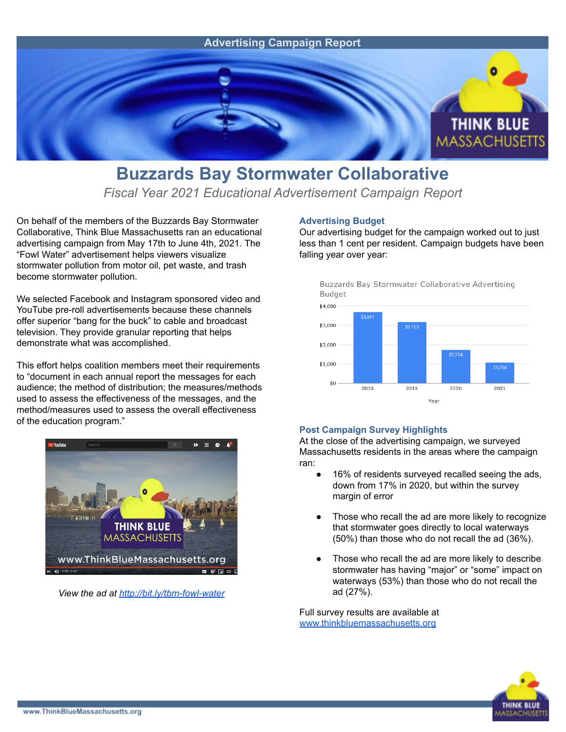

## **Buzzards Bay Stormwater Collaborative**

*Fiscal Year 2021 Educational Advertisement Campaign Report*

On behalf of the members of the Buzzards Bay Stormwater Collaborative, Think Blue Massachusetts ran an educational advertising campaign from May 17th to June 4th, 2021. The "Fowl Water" advertisement helps viewers visualize stormwater pollution from motor oil, pet waste, and trash become stormwater pollution.

We selected Facebook and Instagram sponsored video and YouTube pre-roll advertisements because these channels offer superior "bang for the buck" to cable and broadcast television. They provide granular reporting that helps demonstrate what was accomplished.

This effort helps coalition members meet their requirements to "document in each annual report the messages for each audience; the method of distribution; the measures/methods used to assess the effectiveness of the messages, and the method/measures used to assess the overall effectiveness of the education program."



*View the ad at <http://bit.ly/tbm-fowl-water>*

## **Advertising Budget**

Our advertising budget for the campaign worked out to just less than 1 cent per resident. Campaign budgets have been falling year over year:





## **Post Campaign Survey Highlights**

At the close of the advertising campaign, we surveyed Massachusetts residents in the areas where the campaign ran:

- 16% of residents surveyed recalled seeing the ads, down from 17% in 2020, but within the survey margin of error
- Those who recall the ad are more likely to recognize that stormwater goes directly to local waterways (50%) than those who do not recall the ad (36%).
- Those who recall the ad are more likely to describe stormwater has having "major" or "some" impact on waterways (53%) than those who do not recall the ad (27%).

Full survey results are available at [www.thinkbluemassachusetts.org](http://www.thinkbluemassachusetts.org)